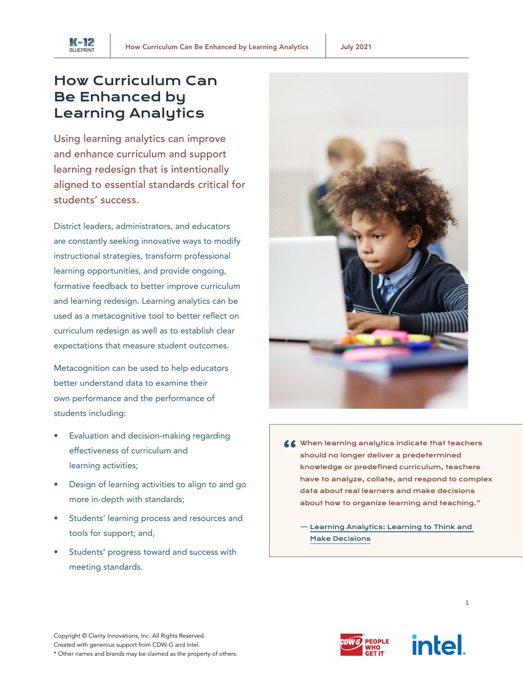

## How Curriculum Can Be Enhanced by Learning Analytics

Using learning analytics can improve and enhance curriculum and support learning redesign that is intentionally aligned to essential standards critical for students' success.

District leaders, administrators, and educators are constantly seeking innovative ways to modify instructional strategies, transform professional learning opportunities, and provide ongoing, formative feedback to better improve curriculum and learning redesign. Learning analytics can be used as a metacognitive tool to better reflect on curriculum redesign as well as to establish clear expectations that measure student outcomes.

Metacognition can be used to help educators better understand data to examine their own performance and the performance of students including:

- Evaluation and decision-making regarding effectiveness of curriculum and learning activities;
- Design of learning activities to align to and go more in-depth with standards;
- Students' learning process and resources and tools for support; and,
- Students' progress toward and success with meeting standards.



- $\left\langle \right. \right\langle$  When learning analytics indicate that teachers should no longer deliver a predetermined knowledge or predefined curriculum, teachers have to analyze, collate, and respond to complex data about real learners and make decisions about how to organize learning and teaching."
	- — [Learning Analytics: Learning to Think and](https://files.eric.ed.gov/fulltext/EJ1223969.pdf)  [Make Decisions](https://files.eric.ed.gov/fulltext/EJ1223969.pdf)



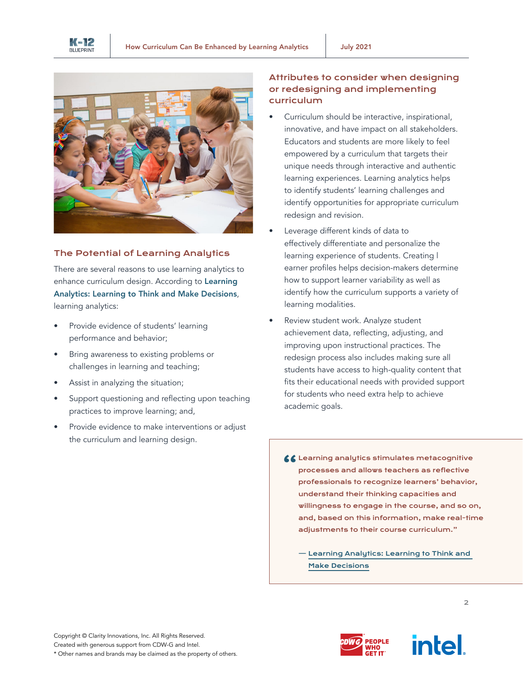



## The Potential of Learning Analytics

There are several reasons to use learning analytics to enhance curriculum design. According to Learning [Analytics: Learning to Think and Make Decisions](https://files.eric.ed.gov/fulltext/EJ1223969.pdf), learning analytics:

- Provide evidence of students' learning performance and behavior;
- Bring awareness to existing problems or challenges in learning and teaching;
- Assist in analyzing the situation;
- Support questioning and reflecting upon teaching practices to improve learning; and,
- Provide evidence to make interventions or adjust the curriculum and learning design.

## Attributes to consider when designing or redesigning and implementing curriculum

- Curriculum should be interactive, inspirational, innovative, and have impact on all stakeholders. Educators and students are more likely to feel empowered by a curriculum that targets their unique needs through interactive and authentic learning experiences. Learning analytics helps to identify students' learning challenges and identify opportunities for appropriate curriculum redesign and revision.
- Leverage different kinds of data to effectively differentiate and personalize the learning experience of students. Creating l earner profiles helps decision-makers determine how to support learner variability as well as identify how the curriculum supports a variety of learning modalities.
- Review student work. Analyze student achievement data, reflecting, adjusting, and improving upon instructional practices. The redesign process also includes making sure all students have access to high-quality content that fits their educational needs with provided support for students who need extra help to achieve academic goals.
	- CC Learning analytics stimulates metacognitive<br>processes and allows teachers as reflective professionals to recognize learners' behavior, understand their thinking capacities and willingness to engage in the course, and so on, and, based on this information, make real-time adjustments to their course curriculum."
		- — [Learning Analytics: Learning to Think and](https://files.eric.ed.gov/fulltext/EJ1223969.pdf)  [Make Decisions](https://files.eric.ed.gov/fulltext/EJ1223969.pdf)